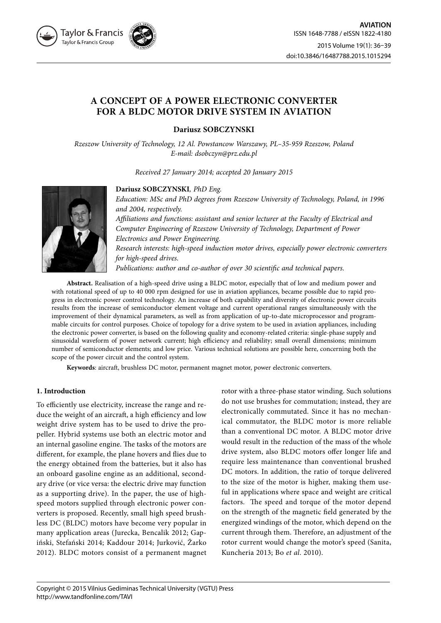

# **A CONCEPT OF A POWER ELECTRONIC CONVERTER FOR A BLDC MOTOR DRIVE SYSTEM IN AVIATION**

**Dariusz SOBCZYNSKI**

*Rzeszow University of Technology, 12 Al. Powstancow Warszawy, PL–35-959 Rzeszow, Poland E-mail: dsobczyn@prz.edu.pl*

*Received 27 January 2014; accepted 20 January 2015*



**Dariusz SOBCZYNSKI***, PhD Eng.*

*Education: MSc and PhD degrees from Rzeszow University of Technology, Poland, in 1996 and 2004, respectively. Affiliations and functions: assistant and senior lecturer at the Faculty of Electrical and Computer Engineering of Rzeszow University of Technology, Department of Power* 

*Electronics and Power Engineering.*

*Research interests: high-speed induction motor drives, especially power electronic converters for high-speed drives.* 

*Publications: author and co-author of over 30 scientific and technical papers.*

**Abstract.** Realisation of a high-speed drive using a BLDC motor, especially that of low and medium power and with rotational speed of up to 40 000 rpm designed for use in aviation appliances, became possible due to rapid progress in electronic power control technology. An increase of both capability and diversity of electronic power circuits results from the increase of semiconductor element voltage and current operational ranges simultaneously with the improvement of their dynamical parameters, as well as from application of up-to-date microprocessor and programmable circuits for control purposes. Choice of topology for a drive system to be used in aviation appliances, including the electronic power converter, is based on the following quality and economy-related criteria: single-phase supply and sinusoidal waveform of power network current; high efficiency and reliability; small overall dimensions; minimum number of semiconductor elements; and low price. Various technical solutions are possible here, concerning both the scope of the power circuit and the control system.

**Keywords**: aircraft, brushless DC motor, permanent magnet motor, power electronic converters.

## **1. Introduction**

To efficiently use electricity, increase the range and reduce the weight of an aircraft, a high efficiency and low weight drive system has to be used to drive the propeller. Hybrid systems use both an electric motor and an internal gasoline engine. The tasks of the motors are different, for example, the plane hovers and flies due to the energy obtained from the batteries, but it also has an onboard gasoline engine as an additional, secondary drive (or vice versa: the electric drive may function as a supporting drive). In the paper, the use of highspeed motors supplied through electronic power converters is proposed. Recently, small high speed brushless DC (BLDC) motors have become very popular in many application areas (Jurecka, Bencalik 2012; Gapiński, Stefański 2014; Kaddour 2014; Jurković, Žarko 2012). BLDC motors consist of a permanent magnet

rotor with a three-phase stator winding. Such solutions do not use brushes for commutation; instead, they are electronically commutated. Since it has no mechanical commutator, the BLDC motor is more reliable than a conventional DC motor. A BLDC motor drive would result in the reduction of the mass of the whole drive system, also BLDC motors offer longer life and require less maintenance than conventional brushed DC motors. In addition, the ratio of torque delivered to the size of the motor is higher, making them useful in applications where space and weight are critical factors. The speed and torque of the motor depend on the strength of the magnetic field generated by the energized windings of the motor, which depend on the current through them. Therefore, an adjustment of the rotor current would change the motor's speed (Sanita, Kuncheria 2013; Bo *et al*. 2010).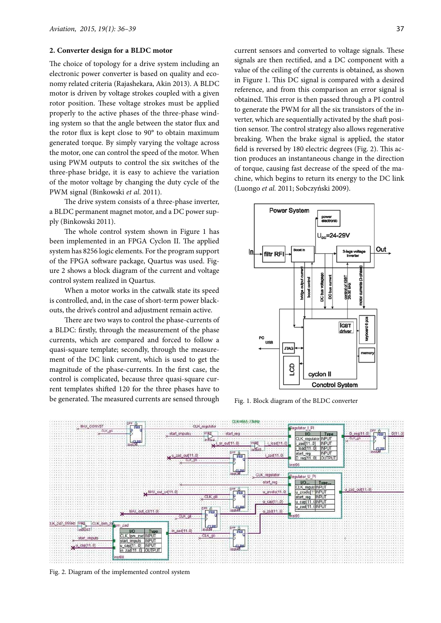#### **2. Converter design for a BLDC motor**

The choice of topology for a drive system including an electronic power converter is based on quality and economy related criteria (Rajashekara, Akin 2013). A BLDC motor is driven by voltage strokes coupled with a given rotor position. These voltage strokes must be applied properly to the active phases of the three-phase winding system so that the angle between the stator flux and the rotor flux is kept close to 90° to obtain maximum generated torque. By simply varying the voltage across the motor, one can control the speed of the motor. When using PWM outputs to control the six switches of the three-phase bridge, it is easy to achieve the variation of the motor voltage by changing the duty cycle of the PWM signal (Binkowski *et al*. 2011).

The drive system consists of a three-phase inverter, a BLDC permanent magnet motor, and a DC power supply (Binkowski 2011).

The whole control system shown in Figure 1 has been implemented in an FPGA Cyclon II. The applied system has 8256 logic elements. For the program support of the FPGA software package, Quartus was used. Figure 2 shows a block diagram of the current and voltage control system realized in Quartus.

When a motor works in the catwalk state its speed is controlled, and, in the case of short-term power blackouts, the drive's control and adjustment remain active.

There are two ways to control the phase-currents of a BLDC: firstly, through the measurement of the phase currents, which are compared and forced to follow a quasi-square template; secondly, through the measurement of the DC link current, which is used to get the magnitude of the phase-currents. In the first case, the control is complicated, because three quasi-square current templates shifted 120 for the three phases have to be generated. The measured currents are sensed through

current sensors and converted to voltage signals. These signals are then rectified, and a DC component with a value of the ceiling of the currents is obtained, as shown in Figure 1. This DC signal is compared with a desired reference, and from this comparison an error signal is obtained. This error is then passed through a PI control to generate the PWM for all the six transistors of the inverter, which are sequentially activated by the shaft position sensor. The control strategy also allows regenerative breaking. When the brake signal is applied, the stator field is reversed by 180 electric degrees (Fig. 2). This action produces an instantaneous change in the direction of torque, causing fast decrease of the speed of the machine, which begins to return its energy to the DC link (Luongo *et al.* 2011; Sobczyński 2009).



Fig. 1. Block diagram of the BLDC converter



Fig. 2. Diagram of the implemented control system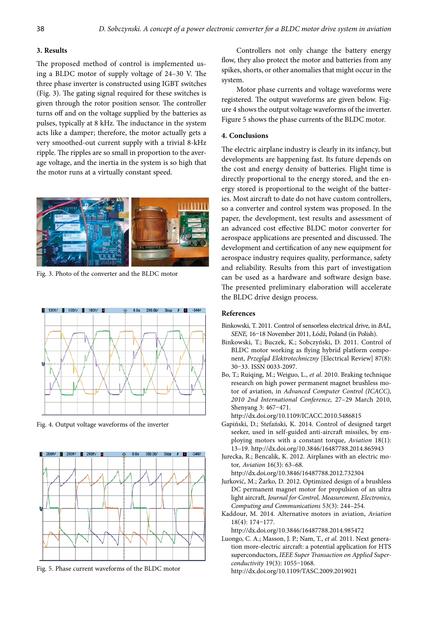#### **3. Results**

The proposed method of control is implemented using a BLDC motor of supply voltage of 24–30 V. The three phase inverter is constructed using IGBT switches (Fig. 3). The gating signal required for these switches is given through the rotor position sensor. The controller turns off and on the voltage supplied by the batteries as pulses, typically at 8 kHz. The inductance in the system acts like a damper; therefore, the motor actually gets a very smoothed-out current supply with a trivial 8-kHz ripple. The ripples are so small in proportion to the average voltage, and the inertia in the system is so high that the motor runs at a virtually constant speed.



Fig. 3. Photo of the converter and the BLDC motor



Fig. 4. Output voltage waveforms of the inverter



Fig. 5. Phase current waveforms of the BLDC motor

Controllers not only change the battery energy flow, they also protect the motor and batteries from any spikes, shorts, or other anomalies that might occur in the system.

Motor phase currents and voltage waveforms were registered. The output waveforms are given below. Figure 4 shows the output voltage waveforms of the inverter. Figure 5 shows the phase currents of the BLDC motor.

#### **4. Conclusions**

The electric airplane industry is clearly in its infancy, but developments are happening fast. Its future depends on the cost and energy density of batteries. Flight time is directly proportional to the energy stored, and the energy stored is proportional to the weight of the batteries. Most aircraft to date do not have custom controllers, so a converter and control system was proposed. In the paper, the development, test results and assessment of an advanced cost effective BLDC motor converter for aerospace applications are presented and discussed. The development and certification of any new equipment for aerospace industry requires quality, performance, safety and reliability. Results from this part of investigation can be used as a hardware and software design base. The presented preliminary elaboration will accelerate the BLDC drive design process.

### **References**

- Binkowski, T. 2011. Control of sensorless electrical drive, in *BAL, SENE,* 16–18 November 2011, Łódź, Poland (in Polish).
- Binkowski, T.; Buczek, K.; Sobczyński, D. 2011. Control of BLDC motor working as flying hybrid platform component, *Przegląd Elektrotechniczny* [Electrical Review] 87(8): 30–33. ISSN 0033-2097.
- Bo, T.; Ruiqing, M.; Weiguo, L., *et al.* 2010. Braking technique research on high power permanent magnet brushless motor of aviation, in *Advanced Computer Control (ICACC), 2010 2nd International Conference,* 27–29 March 2010, Shenyang 3: 467–471.

http://dx.doi.org/10.1109/ICACC.2010.5486815

- Gapiński, D.; Stefański, K. 2014. Control of designed target seeker, used in self-guided anti-aircraft missiles, by employing motors with a constant torque, *Aviation* 18(1): 13–19. http://dx.doi.org/10.3846/16487788.2014.865943
- Jurecka, R.; Bencalik, K. 2012. Airplanes with an electric motor*, Aviation* 16(3): 63–68.

http://dx.doi.org/10.3846/16487788.2012.732304

- Jurković, M.; Žarko, D. 2012. Optimized design of a brushless DC permanent magnet motor for propulsion of an ultra light aircraft*, Journal for Control, Measurement, Electronics, Computing and Communications* 53(3): 244–254.
- Kaddour, M. 2014. Alternative motors in aviation, *Aviation* 18(4): 174–177.

http://dx.doi.org/10.3846/16487788.2014.985472

Luongo, C. A.; Masson, J. P.; Nam, T., *et al.* 2011. Next generation more-electric aircraft: a potential application for HTS superconductors, *IEEE Super Transaction on Applied Superconductivity* 19(3): 1055–1068*.* http://dx.doi.org/10.1109/TASC.2009.2019021